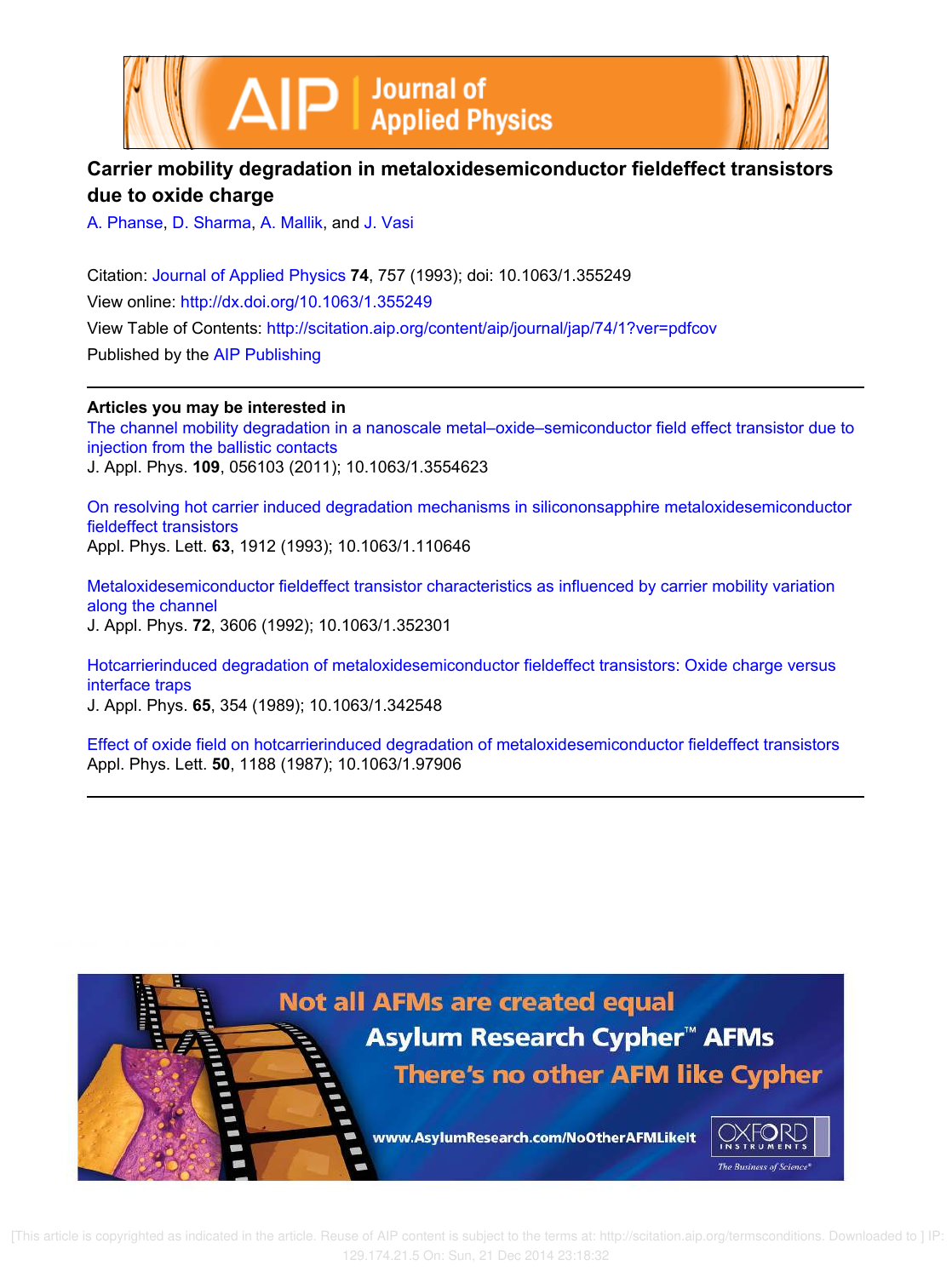



## **Carrier mobility degradation in metaloxidesemiconductor fieldeffect transistors due to oxide charge**

A. Phanse, D. Sharma, A. Mallik, and J. Vasi

Citation: Journal of Applied Physics **74**, 757 (1993); doi: 10.1063/1.355249 View online: http://dx.doi.org/10.1063/1.355249 View Table of Contents: http://scitation.aip.org/content/aip/journal/jap/74/1?ver=pdfcov Published by the AIP Publishing

**Articles you may be interested in**

The channel mobility degradation in a nanoscale metal–oxide–semiconductor field effect transistor due to injection from the ballistic contacts J. Appl. Phys. **109**, 056103 (2011); 10.1063/1.3554623

On resolving hot carrier induced degradation mechanisms in silicononsapphire metaloxidesemiconductor fieldeffect transistors Appl. Phys. Lett. **63**, 1912 (1993); 10.1063/1.110646

Metaloxidesemiconductor fieldeffect transistor characteristics as influenced by carrier mobility variation along the channel J. Appl. Phys. **72**, 3606 (1992); 10.1063/1.352301

Hotcarrierinduced degradation of metaloxidesemiconductor fieldeffect transistors: Oxide charge versus interface traps

J. Appl. Phys. **65**, 354 (1989); 10.1063/1.342548

Effect of oxide field on hotcarrierinduced degradation of metaloxidesemiconductor fieldeffect transistors Appl. Phys. Lett. **50**, 1188 (1987); 10.1063/1.97906

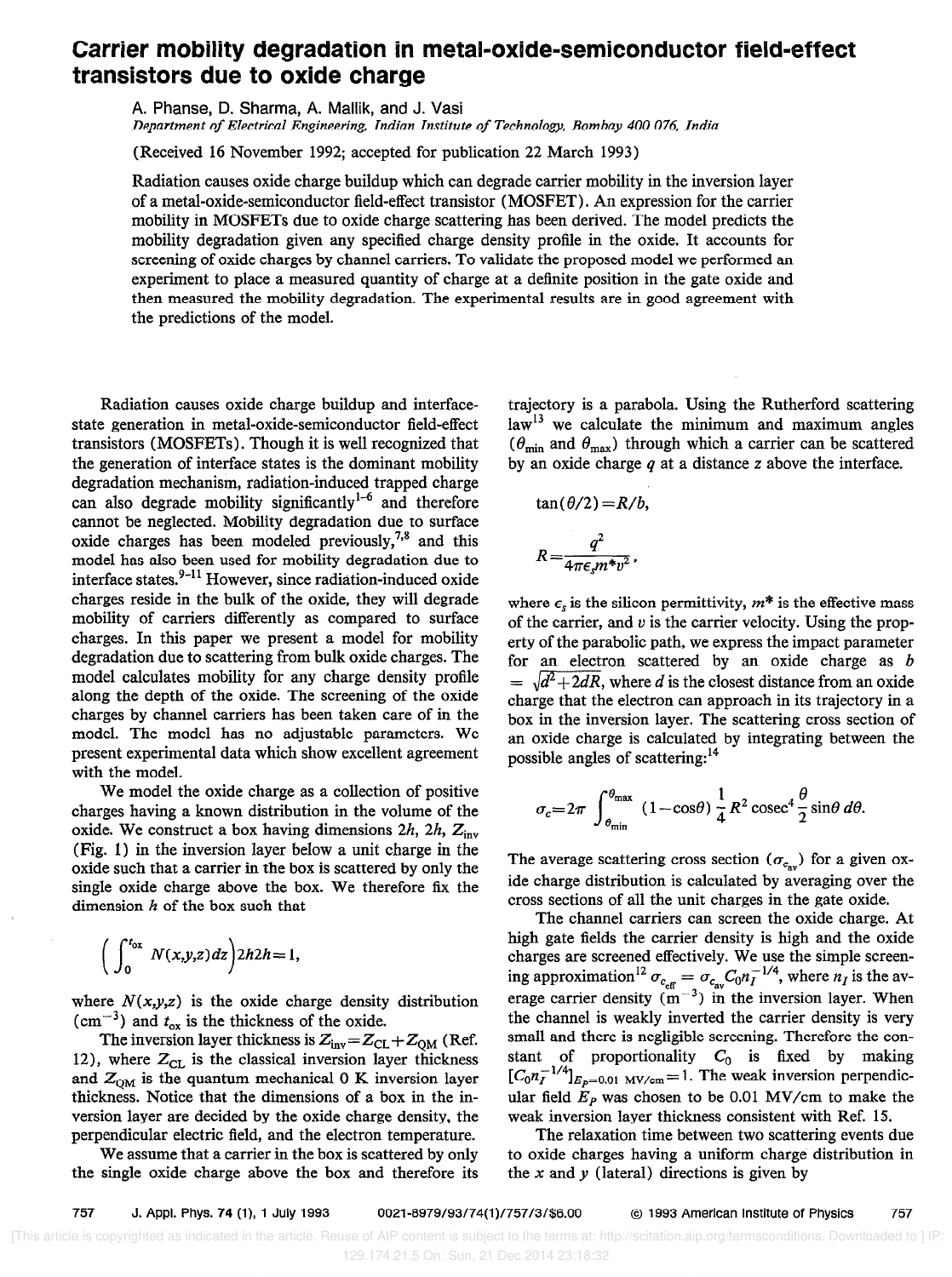## Carrier mobility degradation in metal-oxide-semiconductor field-effect transistors due to oxide charge

A. Phanse, D. Sharma, A. Mallik, and J. Vasi Department of Electrical Engineering, Indian Institute of Technology, Bombay 400 076, India

(Received 16 November 1992; accepted for publication 22 March 1993)

Radiation causes oxide charge buildup which can degrade carrier mobility in the inversion layer of a metal-oxide-semiconductor field-effect transistor (MOSFET) . An expression for the carrier mobility in MOSFETs due to oxide charge scattering has been derived. The model predicts the mobility degradation given any specified charge density profile in the oxide. It accounts for screening of oxide charges by channel carriers. To validate the proposed model we performed an experiment to place a measured quantity of charge at a definite position in the gate oxide and then measured the mobility degradation. The experimental results are in good agreement with the predictions of the model.

Radiation causes oxide charge buildup and interfacestate generation in metal-oxide-semiconductor field-effect transistors (MOSFETs) . Though it is well recognized that the generation of interface states is the dominant mobility degradation mechanism, radiation-induced trapped charge can also degrade mobility significantly<sup>1-6</sup> and therefore cannot be neglected. Mobility degradation due to surface oxide charges has been modeled previously,<sup>7,8</sup> and this model has also been used for mobility degradation due to interface states. $9-11$  However, since radiation-induced oxide charges reside in the bulk of the oxide, they will degrade mobility of carriers differently as compared to surface charges. In this paper we present a model for mobility degradation due to scattering from bulk oxide charges. The model calculates mobility for any charge density profile along the depth of the oxide. The screening of the oxide charges by channel carriers has been taken care of in the model. The model has no adjustable parameters. We present experimental data which show excellent agreement with the model.

We model the oxide charge as a collection of positive charges having a known distribution in the volume of the oxide. We construct a box having dimensions 2h, 2h,  $Z_{inv}$ (Fig. 1) in the inversion layer below a unit charge in the oxide such that a carrier in the box is scattered by only the single oxide charge above the box. We therefore fix the dimension  $h$  of the box such that

$$
\left(\int_0^{t_{ox}} N(x,y,z) dz\right) 2h2h=1,
$$

where  $N(x,y,z)$  is the oxide charge density distribution  $\text{cm}^{-3}$ ) and  $t_{ox}$  is the thickness of the oxide.

The inversion layer thickness is  $Z_{inv} = Z_{CL} + Z_{QM}$  (Ref. 12), where  $Z_{CL}$  is the classical inversion layer thickness and  $Z_{OM}$  is the quantum mechanical 0 K inversion layer thickness. Notice that the dimensions of a box in the inversion layer are decided by the oxide charge density, the perpendicular electric field, and the electron temperature.

We assume that a carrier in the box is scattered by only the single oxide charge above the box and therefore its trajectory is a parabola. Using the Rutherford scattering law<sup>13</sup> we calculate the minimum and maximum angles ( $\theta_{\min}$  and  $\theta_{\max}$ ) through which a carrier can be scattered by an oxide charge  $q$  at a distance  $z$  above the interface.

$$
\tan(\theta/2) = R/b,
$$
  

$$
R = \frac{q^2}{4\pi\epsilon_s m^* v^2},
$$

where  $\epsilon_s$  is the silicon permittivity,  $m^*$  is the effective mass of the carrier, and  $v$  is the carrier velocity. Using the property of the parabolic path, we express the impact parameter for an electron scattered by an oxide charge as b  $=\sqrt{d^2+2}dR$ , where d is the closest distance from an oxide charge that the electron can approach in its trajectory in a box in the inversion layer. The scattering cross section of an oxide charge is calculated by integrating between the possible angles of scattering:<sup>14</sup>

$$
\sigma_c = 2\pi \int_{\theta_{\min}}^{\theta_{\max}} (1 - \cos\theta) \frac{1}{4} R^2 \csc^4 \frac{\theta}{2} \sin\theta \, d\theta.
$$

The average scattering cross section ( $\sigma_{c_{av}}$ ) for a given oxide charge distribution is calculated by averaging over the cross sections of all the unit charges in the gate oxide.

The channel carriers can screen the oxide charge. At high gate fields the carrier density is high and the oxide charges are screened effectively. We use the simple screening approximation<sup>12</sup>  $\sigma_{c_{\alpha}} = \sigma_{c_{\alpha}} C_0 n_I^{-1/4}$ , where  $n_I$  is the average carrier density  $(m^{-3})$  in the inversion layer. When the channel is weakly inverted the carrier density is very small and there is negligible screening. Therefore the constant of proportionality  $C_0$  is fixed by making  $[C_0n_I^{-1/4}]_{E_p=0.01 \text{ MV/cm}} = 1$ . The weak inversion perpendicular field  $E_p$  was chosen to be 0.01 MV/cm to make the weak inversion layer thickness consistent with Ref. 15.

The relaxation time between two scattering events due to oxide charges having a uniform charge distribution in the  $x$  and  $y$  (lateral) directions is given by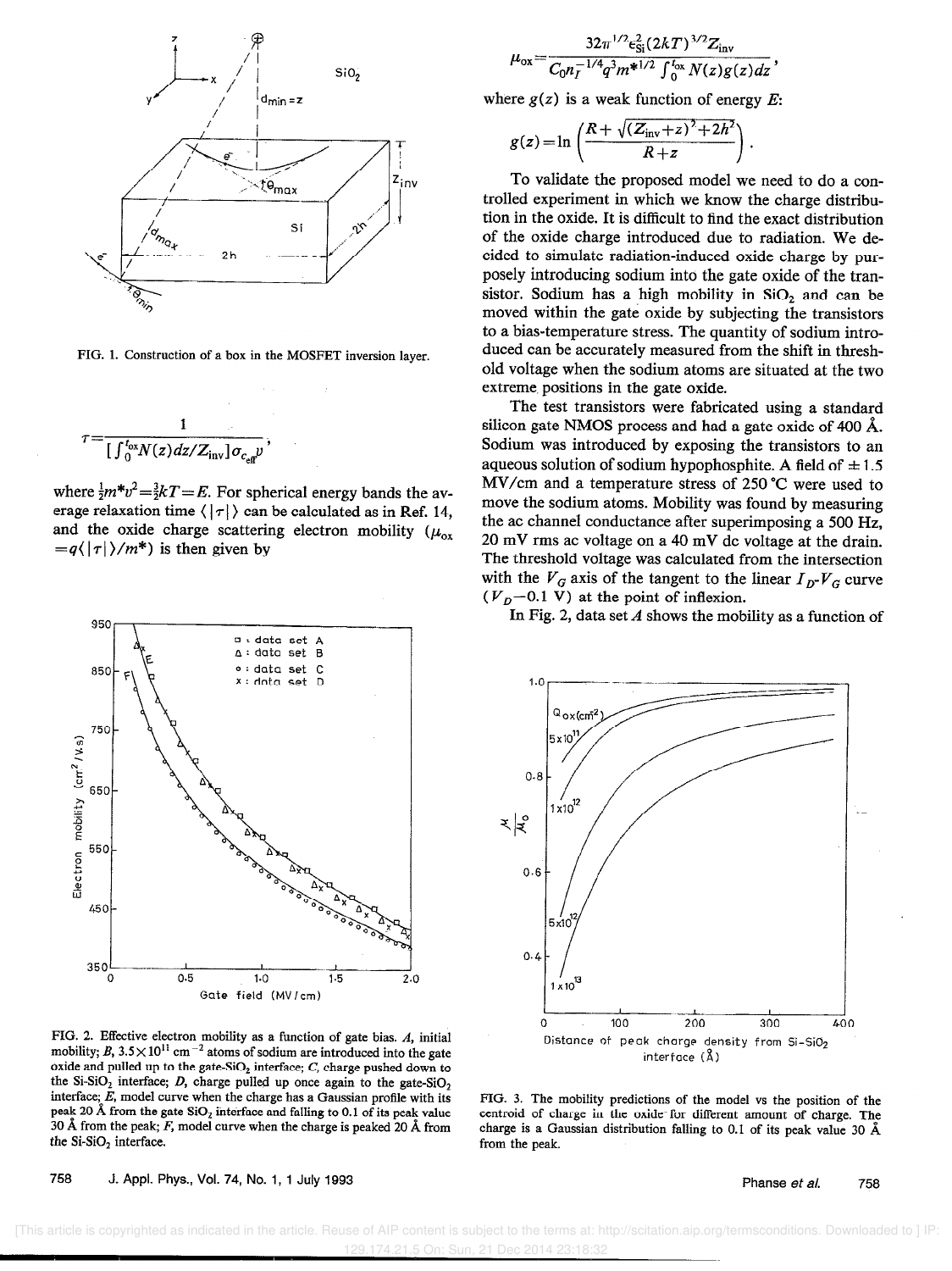

FIG. 1. Construction of a box in the MOSFET inversion layer.

$$
\tau = \frac{1}{\int_0^{t_{ox}} N(z) dz / Z_{\rm inv} \, \sigma_{c_{\rm eff}} \nu},
$$

where  $\frac{1}{2}m^*v^2 = \frac{3}{2}kT = E$ . For spherical energy bands the average relaxation time  $\langle |\tau| \rangle$  can be calculated as in Ref. 14, and the oxide charge scattering electron mobility ( $\mu_{ox}$ )  $=q\langle |\tau| \rangle/m^*$ ) is then given by



FIG. 2. Effective electron mobility as a function of gate bias. A, initial  $\mu$ <sub>1</sub>,  $\mu$ ,  $\mu$ ,  $\mu$ ,  $\mu$ <sup>-</sup> cm-<sup>\*</sup> atoms of sodium are introduced into the gate oxide and pulled up to the gate-SiO<sub>2</sub> interface;  $C$ , charge pushed down to the Si-SiO<sub>2</sub> interface; D, charge pulled up once again to the gate-SiO<sub>2</sub> interface; E, model curve when the charge has a Gaussian profile with its interface;  $E$ , model curve when the charge has a Gaussian profile with its peak 20 A from the gate-SiO<sub>2</sub> interface and falling to 0.1 of its peak value 30 Å from the peak;  $F$ , model curve when the charge is peaked 20 Å from the Si-SiO, interface.

758 J. Appl. Phys., Vol. 74, No. 1, 1 July 1993 **Phanse et al.** 758

$$
\mu_{\rm ox} = \frac{32\pi^{1/2}\epsilon_{\rm Si}^2 (2kT)^{3/2}Z_{\rm inv}}{C_0 n_I^{-1/4} q^3 m^{*1/2} \int_0^{t_{\rm ox}} N(z)g(z)dz}
$$

where  $g(z)$  is a weak function of energy E:

$$
g(z) = \ln\left(\frac{R+\sqrt{(Z_{\text{inv}}+z)^2+2h^2}}{R+z}\right).
$$

To validate the proposed model we need to do a controlled experiment in which we know the charge distribution in the oxide. It is difficult to find the exact distribution of the oxide charge introduced due to radiation. We decided to simulate radiation-induced oxide charge by purposely introducing sodium into the gate oxide of the transistor. Sodium has a high mobility in SiO, and can be moved within the gate oxide by subjecting the transistors to a bias-temperature stress. The quantity of sodium introduced can be accurately measured from the shift in threshold voltage when the sodium atoms are situated at the two extreme. positions in the gate oxide.

The test transistors were fabricated using a standard silicon gate NMOS process and had a gate oxide of 400 A. Sodium was introduced by exposing the transistors to an aqueous solution of sodium hypophosphite. A field of  $\pm 1.5$ MV/cm and a temperature stress of 250 "C were used to move the sodium atoms. Mobility was found by measuring the ac channel conductance after superimposing a 500 Hz, 20 mV rms ac voltage on a 40 mV dc voltage at the drain. The threshold voltage was calculated from the intersection with the  $V_G$  axis of the tangent to the linear  $I_D-V_G$  curve  $(V_D=0.1 \text{ V})$  at the point of inflexion.

In Fig. 2, data set  $A$  shows the mobility as a function of



FIG. 3. The mobility predictions of the model vs the position of the centroid of charge in the oxide-for different amount of charge. The charge is a Gaussian distribution falling to 0.1 of its peak value 30 A from the peak.